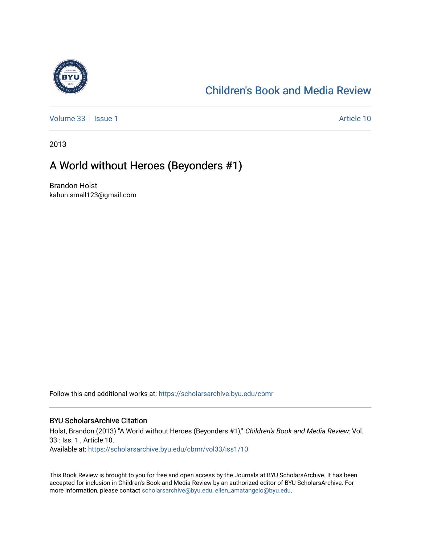

## [Children's Book and Media Review](https://scholarsarchive.byu.edu/cbmr)

[Volume 33](https://scholarsarchive.byu.edu/cbmr/vol33) | [Issue 1](https://scholarsarchive.byu.edu/cbmr/vol33/iss1) Article 10

2013

## A World without Heroes (Beyonders #1)

Brandon Holst kahun.small123@gmail.com

Follow this and additional works at: [https://scholarsarchive.byu.edu/cbmr](https://scholarsarchive.byu.edu/cbmr?utm_source=scholarsarchive.byu.edu%2Fcbmr%2Fvol33%2Fiss1%2F10&utm_medium=PDF&utm_campaign=PDFCoverPages) 

## BYU ScholarsArchive Citation

Holst, Brandon (2013) "A World without Heroes (Beyonders #1)," Children's Book and Media Review: Vol. 33 : Iss. 1 , Article 10. Available at: [https://scholarsarchive.byu.edu/cbmr/vol33/iss1/10](https://scholarsarchive.byu.edu/cbmr/vol33/iss1/10?utm_source=scholarsarchive.byu.edu%2Fcbmr%2Fvol33%2Fiss1%2F10&utm_medium=PDF&utm_campaign=PDFCoverPages)

This Book Review is brought to you for free and open access by the Journals at BYU ScholarsArchive. It has been accepted for inclusion in Children's Book and Media Review by an authorized editor of BYU ScholarsArchive. For more information, please contact [scholarsarchive@byu.edu, ellen\\_amatangelo@byu.edu.](mailto:scholarsarchive@byu.edu,%20ellen_amatangelo@byu.edu)